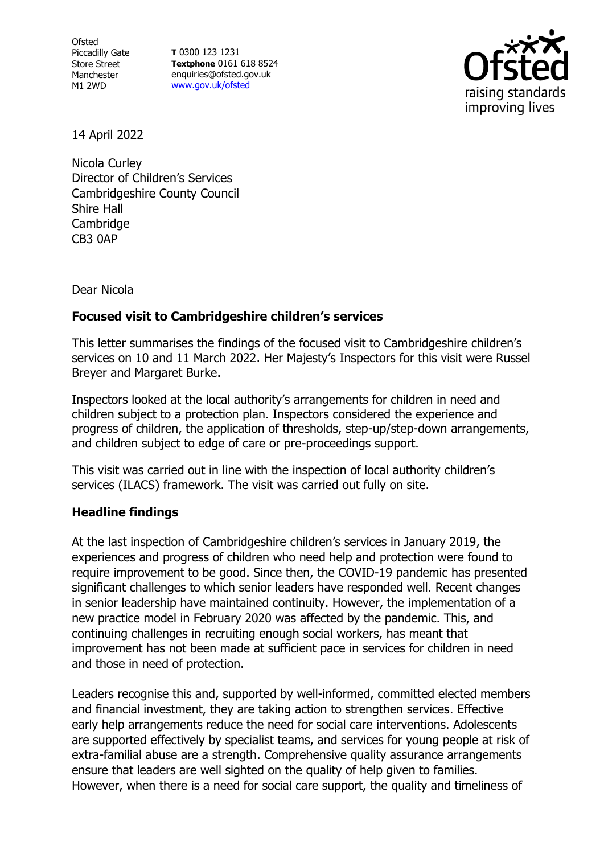**Ofsted** Piccadilly Gate Store Street Manchester M1 2WD

**T** 0300 123 1231 **Textphone** 0161 618 8524 enquiries@ofsted.gov.uk [www.gov.uk/ofsted](http://www.gov.uk/ofsted)



14 April 2022

Nicola Curley Director of Children's Services Cambridgeshire County Council Shire Hall Cambridge CB3 0AP

Dear Nicola

## **Focused visit to Cambridgeshire children's services**

This letter summarises the findings of the focused visit to Cambridgeshire children's services on 10 and 11 March 2022. Her Majesty's Inspectors for this visit were Russel Breyer and Margaret Burke.

Inspectors looked at the local authority's arrangements for children in need and children subject to a protection plan. Inspectors considered the experience and progress of children, the application of thresholds, step-up/step-down arrangements, and children subject to edge of care or pre-proceedings support.

This visit was carried out in line with the inspection of local authority children's services (ILACS) framework. The visit was carried out fully on site.

## **Headline findings**

At the last inspection of Cambridgeshire children's services in January 2019, the experiences and progress of children who need help and protection were found to require improvement to be good. Since then, the COVID-19 pandemic has presented significant challenges to which senior leaders have responded well. Recent changes in senior leadership have maintained continuity. However, the implementation of a new practice model in February 2020 was affected by the pandemic. This, and continuing challenges in recruiting enough social workers, has meant that improvement has not been made at sufficient pace in services for children in need and those in need of protection.

Leaders recognise this and, supported by well-informed, committed elected members and financial investment, they are taking action to strengthen services. Effective early help arrangements reduce the need for social care interventions. Adolescents are supported effectively by specialist teams, and services for young people at risk of extra-familial abuse are a strength. Comprehensive quality assurance arrangements ensure that leaders are well sighted on the quality of help given to families. However, when there is a need for social care support, the quality and timeliness of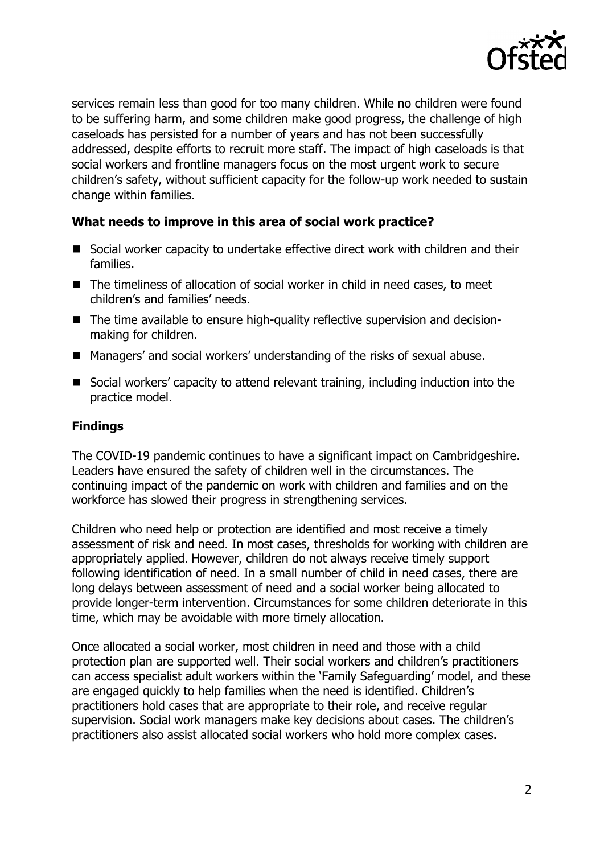

services remain less than good for too many children. While no children were found to be suffering harm, and some children make good progress, the challenge of high caseloads has persisted for a number of years and has not been successfully addressed, despite efforts to recruit more staff. The impact of high caseloads is that social workers and frontline managers focus on the most urgent work to secure children's safety, without sufficient capacity for the follow-up work needed to sustain change within families.

## **What needs to improve in this area of social work practice?**

- Social worker capacity to undertake effective direct work with children and their families.
- The timeliness of allocation of social worker in child in need cases, to meet children's and families' needs.
- The time available to ensure high-quality reflective supervision and decisionmaking for children.
- Managers' and social workers' understanding of the risks of sexual abuse.
- Social workers' capacity to attend relevant training, including induction into the practice model.

## **Findings**

The COVID-19 pandemic continues to have a significant impact on Cambridgeshire. Leaders have ensured the safety of children well in the circumstances. The continuing impact of the pandemic on work with children and families and on the workforce has slowed their progress in strengthening services.

Children who need help or protection are identified and most receive a timely assessment of risk and need. In most cases, thresholds for working with children are appropriately applied. However, children do not always receive timely support following identification of need. In a small number of child in need cases, there are long delays between assessment of need and a social worker being allocated to provide longer-term intervention. Circumstances for some children deteriorate in this time, which may be avoidable with more timely allocation.

Once allocated a social worker, most children in need and those with a child protection plan are supported well. Their social workers and children's practitioners can access specialist adult workers within the 'Family Safeguarding' model, and these are engaged quickly to help families when the need is identified. Children's practitioners hold cases that are appropriate to their role, and receive regular supervision. Social work managers make key decisions about cases. The children's practitioners also assist allocated social workers who hold more complex cases.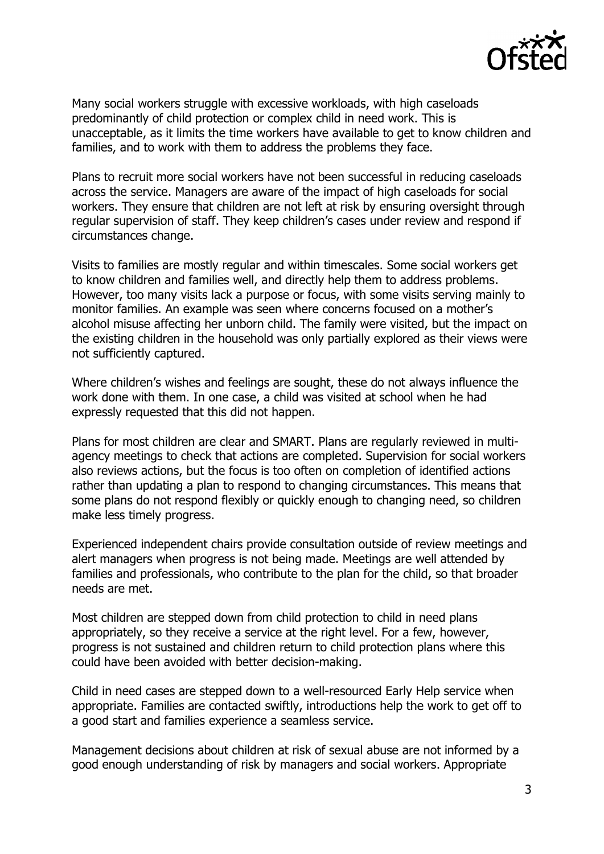

Many social workers struggle with excessive workloads, with high caseloads predominantly of child protection or complex child in need work. This is unacceptable, as it limits the time workers have available to get to know children and families, and to work with them to address the problems they face.

Plans to recruit more social workers have not been successful in reducing caseloads across the service. Managers are aware of the impact of high caseloads for social workers. They ensure that children are not left at risk by ensuring oversight through regular supervision of staff. They keep children's cases under review and respond if circumstances change.

Visits to families are mostly regular and within timescales. Some social workers get to know children and families well, and directly help them to address problems. However, too many visits lack a purpose or focus, with some visits serving mainly to monitor families. An example was seen where concerns focused on a mother's alcohol misuse affecting her unborn child. The family were visited, but the impact on the existing children in the household was only partially explored as their views were not sufficiently captured.

Where children's wishes and feelings are sought, these do not always influence the work done with them. In one case, a child was visited at school when he had expressly requested that this did not happen.

Plans for most children are clear and SMART. Plans are regularly reviewed in multiagency meetings to check that actions are completed. Supervision for social workers also reviews actions, but the focus is too often on completion of identified actions rather than updating a plan to respond to changing circumstances. This means that some plans do not respond flexibly or quickly enough to changing need, so children make less timely progress.

Experienced independent chairs provide consultation outside of review meetings and alert managers when progress is not being made. Meetings are well attended by families and professionals, who contribute to the plan for the child, so that broader needs are met.

Most children are stepped down from child protection to child in need plans appropriately, so they receive a service at the right level. For a few, however, progress is not sustained and children return to child protection plans where this could have been avoided with better decision-making.

Child in need cases are stepped down to a well-resourced Early Help service when appropriate. Families are contacted swiftly, introductions help the work to get off to a good start and families experience a seamless service.

Management decisions about children at risk of sexual abuse are not informed by a good enough understanding of risk by managers and social workers. Appropriate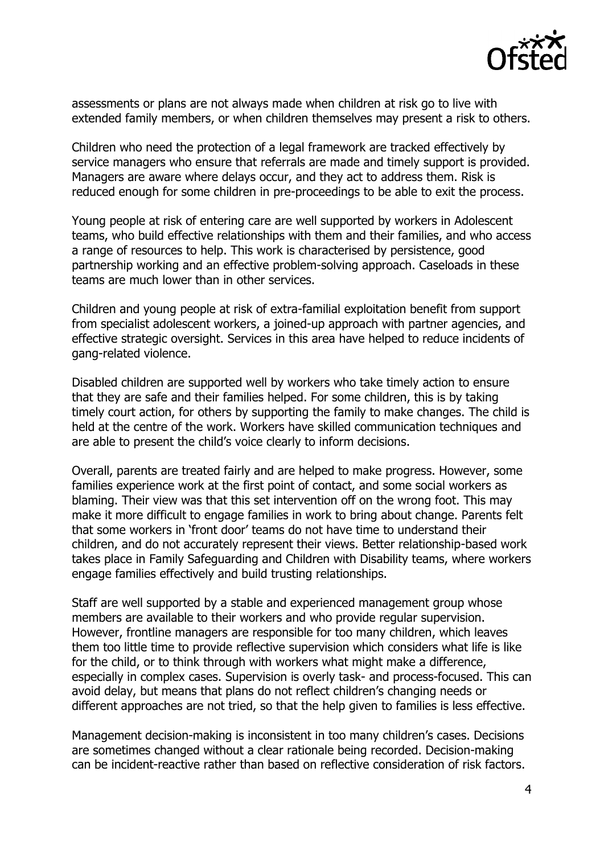

assessments or plans are not always made when children at risk go to live with extended family members, or when children themselves may present a risk to others.

Children who need the protection of a legal framework are tracked effectively by service managers who ensure that referrals are made and timely support is provided. Managers are aware where delays occur, and they act to address them. Risk is reduced enough for some children in pre-proceedings to be able to exit the process.

Young people at risk of entering care are well supported by workers in Adolescent teams, who build effective relationships with them and their families, and who access a range of resources to help. This work is characterised by persistence, good partnership working and an effective problem-solving approach. Caseloads in these teams are much lower than in other services.

Children and young people at risk of extra-familial exploitation benefit from support from specialist adolescent workers, a joined-up approach with partner agencies, and effective strategic oversight. Services in this area have helped to reduce incidents of gang-related violence.

Disabled children are supported well by workers who take timely action to ensure that they are safe and their families helped. For some children, this is by taking timely court action, for others by supporting the family to make changes. The child is held at the centre of the work. Workers have skilled communication techniques and are able to present the child's voice clearly to inform decisions.

Overall, parents are treated fairly and are helped to make progress. However, some families experience work at the first point of contact, and some social workers as blaming. Their view was that this set intervention off on the wrong foot. This may make it more difficult to engage families in work to bring about change. Parents felt that some workers in 'front door' teams do not have time to understand their children, and do not accurately represent their views. Better relationship-based work takes place in Family Safeguarding and Children with Disability teams, where workers engage families effectively and build trusting relationships.

Staff are well supported by a stable and experienced management group whose members are available to their workers and who provide regular supervision. However, frontline managers are responsible for too many children, which leaves them too little time to provide reflective supervision which considers what life is like for the child, or to think through with workers what might make a difference, especially in complex cases. Supervision is overly task- and process-focused. This can avoid delay, but means that plans do not reflect children's changing needs or different approaches are not tried, so that the help given to families is less effective.

Management decision-making is inconsistent in too many children's cases. Decisions are sometimes changed without a clear rationale being recorded. Decision-making can be incident-reactive rather than based on reflective consideration of risk factors.